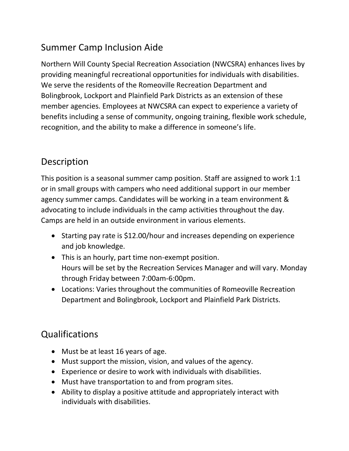## Summer Camp Inclusion Aide

Northern Will County Special Recreation Association (NWCSRA) enhances lives by providing meaningful recreational opportunities for individuals with disabilities. We serve the residents of the Romeoville Recreation Department and Bolingbrook, Lockport and Plainfield Park Districts as an extension of these member agencies. Employees at NWCSRA can expect to experience a variety of benefits including a sense of community, ongoing training, flexible work schedule, recognition, and the ability to make a difference in someone's life.

## Description

This position is a seasonal summer camp position. Staff are assigned to work 1:1 or in small groups with campers who need additional support in our member agency summer camps. Candidates will be working in a team environment & advocating to include individuals in the camp activities throughout the day. Camps are held in an outside environment in various elements.

- Starting pay rate is \$12.00/hour and increases depending on experience and job knowledge.
- This is an hourly, part time non-exempt position. Hours will be set by the Recreation Services Manager and will vary. Monday through Friday between 7:00am-6:00pm.
- Locations: Varies throughout the communities of Romeoville Recreation Department and Bolingbrook, Lockport and Plainfield Park Districts.

## Qualifications

- Must be at least 16 years of age.
- Must support the mission, vision, and values of the agency.
- Experience or desire to work with individuals with disabilities.
- Must have transportation to and from program sites.
- Ability to display a positive attitude and appropriately interact with individuals with disabilities.